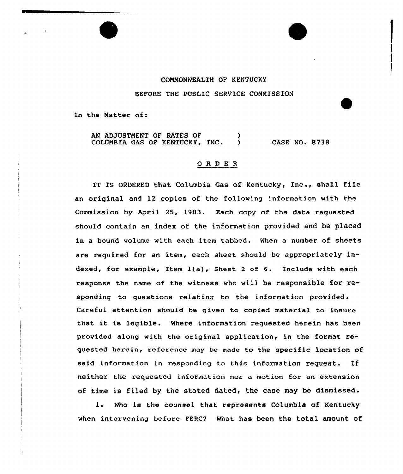## COMMONWEALTH OF KENTUCKY BEFORE THE PUBLIC SERVICE COMMISSION

In the Matter of:

AN ADJUSTMENT OF RATES OF (1) COLUMBIA GAS OF KENTUCKY, INC. ) CASE NO. 8738

## ORDER

IT IS ORDERED that Columbia Gas of Kentucky, Inc., shall file an original and 12 copies of the fcllowing information with the Commission by April 25, 1983. Each copy of the data requested should contain an index of the information provided and be placed in a bound volume with each item tabbed. When a number of sheets are required for an item, each sheet should be appropriately indexed, for example, Item  $l(a)$ , Sheet 2 of 6. Include with each response the name of the witness who will be responsible for responding to questions relating to the information provided. Careful attention should be given to copied material to insure that it is legible. Where information requested herein has been provided along with the original application, in the format requested herein, reference may be made to the specific location of said information in responding to this information request. If neither the requested information nor a motion for an extension of time is filed by the stated dated, the case may be dismissed.

1. Who is the counsel that represents Columbia of Kentucky when intervening before FERC? What has been the total amount of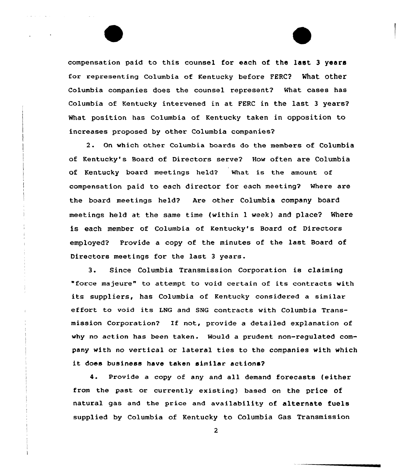compensation paid to this counsel for each of the last <sup>3</sup> years for representing Columbia of Kentucky before FERC? What other Columbia companies does the counsel represent2 What cases has Columbia of Kentucky intervened in at FERC in the last <sup>3</sup> years? What position has Columbia of Kentucky taken in opposition to increases proposed by other Columbia companies?

2. On which other Columbia boards do the members of Columbia of Kentucky's Board of Directors serve2 How often are Columbia of Kentucky board meetings held? What is the amount of compensation paid to each director for each meeting? Where are the board meetings held? Are other Columbia company board meetings held at the same time (within 1 week} and place? Where is each member of Columbia of Kentucky's Board of Directors employed? Provide <sup>a</sup> copy of the minutes of the last Board of Directors meetings for the last <sup>3</sup> years.

3. Since Columbia Transmission Corporation is claiming "force majeure" to attempt to void certain of its contracts with its suppliers, has Columbia of Kentucky considered a similar effort to void its LNG and SNG contracts with Columbia Transmission Corporation? If not, provide a detailed explanation of why no action has been taken. Would a prudent non-regulated company with no vertical or lateral ties to the companies with which it does business have taken similar actions?

4. Provide a copy of any and all demand forecasts (either from the past or currently existing} based on the price Of natural gas and the price and availability of alternate fuels supplied by Columbia of Kentucky to Columbia Gas Transmission

 $\overline{2}$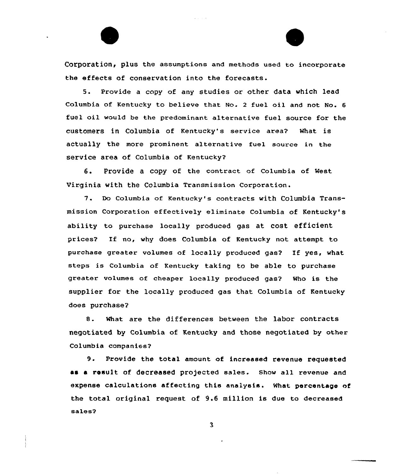Corporation, plus the assumptions and methods used ta incorporate the effects of conservation into the forecasts.

5. Provide a copy of any studies or other data which lead Columbia of Kentucky to believe that No. 2 fuel oil and not No. 6 fuel oil would be the predominant alternative fuel source for the customers in Columbia of Kentucky's service area? What is actually the more prominent alternative fuel source in the service area of Columbia of Kentucky?

6. Provide <sup>a</sup> copy af the cantract af Columbia of West Virginia with the Columbia Transmission Corporation.

7. Do Columbia of Kentucky's contracts with Columbia Transmission Corporation effectively eliminate Columbia of Kentucky's ability to purchase locally produced gas at cost efficient prices? If no, why does Columbia of Kentucky nat attempt to purchase greater volumes of locally produced gas? If yes, what steps is Columbia of Kentucky taking to be able to purchase greater volumes af cheaper locally produced gas? Who is the supplier for the locally produced gas that Columbia of Kentucky does purchase?

8. What are the differences between the labor contracts negotiated by Columbia af Kentucky and those negotiated by other Columbia companies?

9. Provide the total amount of increased revenue requested as a result of decreased projected sales. Show all revenue and expense calculations affecting this analysis. What percentage of the total original request af 9.6 million is due to decreased sales?

 $\overline{\mathbf{3}}$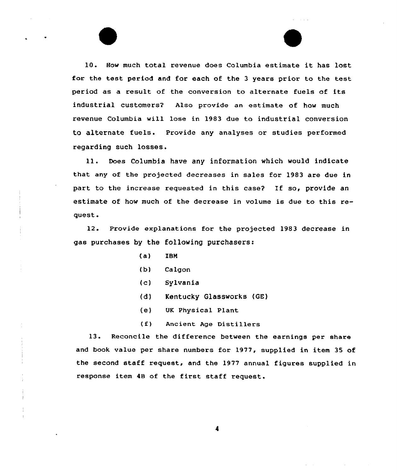10. How much total revenue does Columbia estimate it has lost for the test period and for each of the <sup>3</sup> years prior to the test period as a result of the conversion to alternate fuels of its industrial customers? Also provide an estimate of how much revenue Columbia will lose in 1983 due to industrial conversion to alternate fuels. Provide any analyses or studies performed regarding such losses.

11. Does Columbia have any information which would indicate that any of the projected decreases in sales for 1983 are due in part to the increase requested in this case? If so, provide an estimate of how much of the decrease in volume is due to this request.

12. Provide explanations for the projected 1983 decrease in gas purchases by the following purchasers:

- (a) ZBN
- (b) Calgon
- (c) Sylvania
- (d) Kentucky Glassworks (GE)
- (e) UK Physical Plant
- (f) Ancient Age Distillers

13. Reconcile the difference between the earnings per share and book value per share numbers for 1977, supplied in item 35 of the second staff request, and the 1977 annual figures supplied in response item 4B of the first staff request.